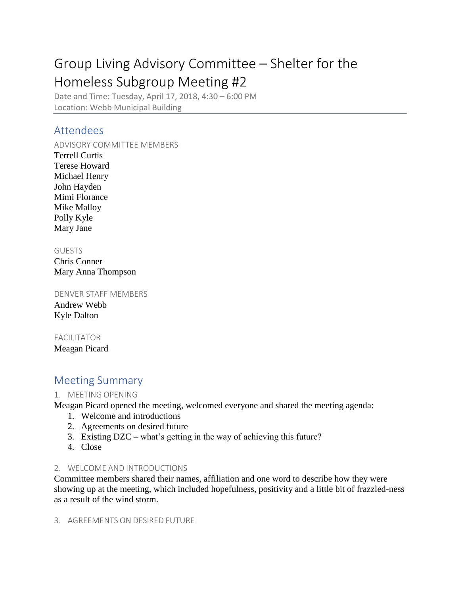# Group Living Advisory Committee – Shelter for the Homeless Subgroup Meeting #2

Date and Time: Tuesday, April 17, 2018, 4:30 – 6:00 PM Location: Webb Municipal Building

# Attendees

ADVISORY COMMITTEE MEMBERS Terrell Curtis Terese Howard Michael Henry John Hayden Mimi Florance Mike Malloy Polly Kyle Mary Jane

#### GUESTS

Chris Conner Mary Anna Thompson

DENVER STAFF MEMBERS Andrew Webb Kyle Dalton

## FACILITATOR

Meagan Picard

# Meeting Summary

## 1. MEETING OPENING

Meagan Picard opened the meeting, welcomed everyone and shared the meeting agenda:

- 1. Welcome and introductions
- 2. Agreements on desired future
- 3. Existing DZC what's getting in the way of achieving this future?
- 4. Close

## 2. WELCOME AND INTRODUCTIONS

Committee members shared their names, affiliation and one word to describe how they were showing up at the meeting, which included hopefulness, positivity and a little bit of frazzled-ness as a result of the wind storm.

#### 3. AGREEMENTS ON DESIRED FUTURE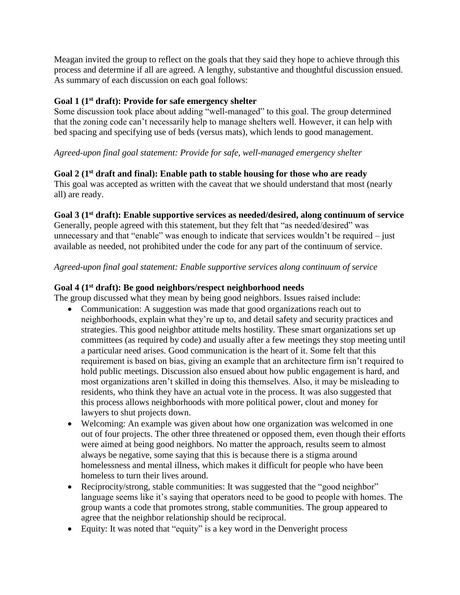Meagan invited the group to reflect on the goals that they said they hope to achieve through this process and determine if all are agreed. A lengthy, substantive and thoughtful discussion ensued. As summary of each discussion on each goal follows:

#### **Goal 1 (1st draft): Provide for safe emergency shelter**

Some discussion took place about adding "well-managed" to this goal. The group determined that the zoning code can't necessarily help to manage shelters well. However, it can help with bed spacing and specifying use of beds (versus mats), which lends to good management.

#### *Agreed-upon final goal statement: Provide for safe, well-managed emergency shelter*

#### **Goal 2 (1st draft and final): Enable path to stable housing for those who are ready**

This goal was accepted as written with the caveat that we should understand that most (nearly all) are ready.

#### **Goal 3 (1st draft): Enable supportive services as needed/desired, along continuum of service**

Generally, people agreed with this statement, but they felt that "as needed/desired" was unnecessary and that "enable" was enough to indicate that services wouldn't be required – just available as needed, not prohibited under the code for any part of the continuum of service.

#### *Agreed-upon final goal statement: Enable supportive services along continuum of service*

#### **Goal 4 (1st draft): Be good neighbors/respect neighborhood needs**

The group discussed what they mean by being good neighbors. Issues raised include:

- Communication: A suggestion was made that good organizations reach out to neighborhoods, explain what they're up to, and detail safety and security practices and strategies. This good neighbor attitude melts hostility. These smart organizations set up committees (as required by code) and usually after a few meetings they stop meeting until a particular need arises. Good communication is the heart of it. Some felt that this requirement is based on bias, giving an example that an architecture firm isn't required to hold public meetings. Discussion also ensued about how public engagement is hard, and most organizations aren't skilled in doing this themselves. Also, it may be misleading to residents, who think they have an actual vote in the process. It was also suggested that this process allows neighborhoods with more political power, clout and money for lawyers to shut projects down.
- Welcoming: An example was given about how one organization was welcomed in one out of four projects. The other three threatened or opposed them, even though their efforts were aimed at being good neighbors. No matter the approach, results seem to almost always be negative, some saying that this is because there is a stigma around homelessness and mental illness, which makes it difficult for people who have been homeless to turn their lives around.
- Reciprocity/strong, stable communities: It was suggested that the "good neighbor" language seems like it's saying that operators need to be good to people with homes. The group wants a code that promotes strong, stable communities. The group appeared to agree that the neighbor relationship should be reciprocal.
- Equity: It was noted that "equity" is a key word in the Denveright process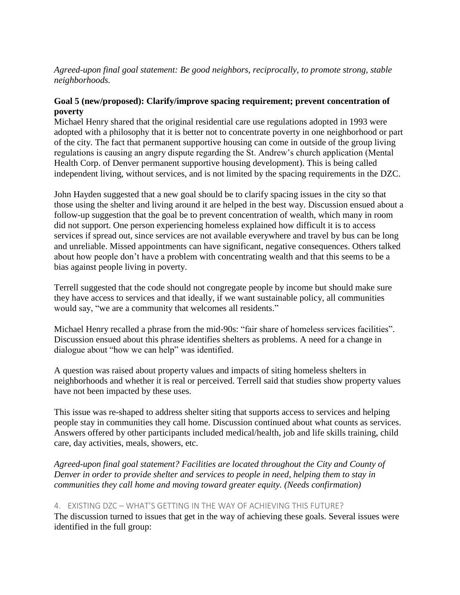#### *Agreed-upon final goal statement: Be good neighbors, reciprocally, to promote strong, stable neighborhoods.*

#### **Goal 5 (new/proposed): Clarify/improve spacing requirement; prevent concentration of poverty**

Michael Henry shared that the original residential care use regulations adopted in 1993 were adopted with a philosophy that it is better not to concentrate poverty in one neighborhood or part of the city. The fact that permanent supportive housing can come in outside of the group living regulations is causing an angry dispute regarding the St. Andrew's church application (Mental Health Corp. of Denver permanent supportive housing development). This is being called independent living, without services, and is not limited by the spacing requirements in the DZC.

John Hayden suggested that a new goal should be to clarify spacing issues in the city so that those using the shelter and living around it are helped in the best way. Discussion ensued about a follow-up suggestion that the goal be to prevent concentration of wealth, which many in room did not support. One person experiencing homeless explained how difficult it is to access services if spread out, since services are not available everywhere and travel by bus can be long and unreliable. Missed appointments can have significant, negative consequences. Others talked about how people don't have a problem with concentrating wealth and that this seems to be a bias against people living in poverty.

Terrell suggested that the code should not congregate people by income but should make sure they have access to services and that ideally, if we want sustainable policy, all communities would say, "we are a community that welcomes all residents."

Michael Henry recalled a phrase from the mid-90s: "fair share of homeless services facilities". Discussion ensued about this phrase identifies shelters as problems. A need for a change in dialogue about "how we can help" was identified.

A question was raised about property values and impacts of siting homeless shelters in neighborhoods and whether it is real or perceived. Terrell said that studies show property values have not been impacted by these uses.

This issue was re-shaped to address shelter siting that supports access to services and helping people stay in communities they call home. Discussion continued about what counts as services. Answers offered by other participants included medical/health, job and life skills training, child care, day activities, meals, showers, etc.

*Agreed-upon final goal statement? Facilities are located throughout the City and County of Denver in order to provide shelter and services to people in need, helping them to stay in communities they call home and moving toward greater equity. (Needs confirmation)*

#### 4. EXISTING DZC – WHAT'S GETTING IN THE WAY OF ACHIEVING THIS FUTURE?

The discussion turned to issues that get in the way of achieving these goals. Several issues were identified in the full group: